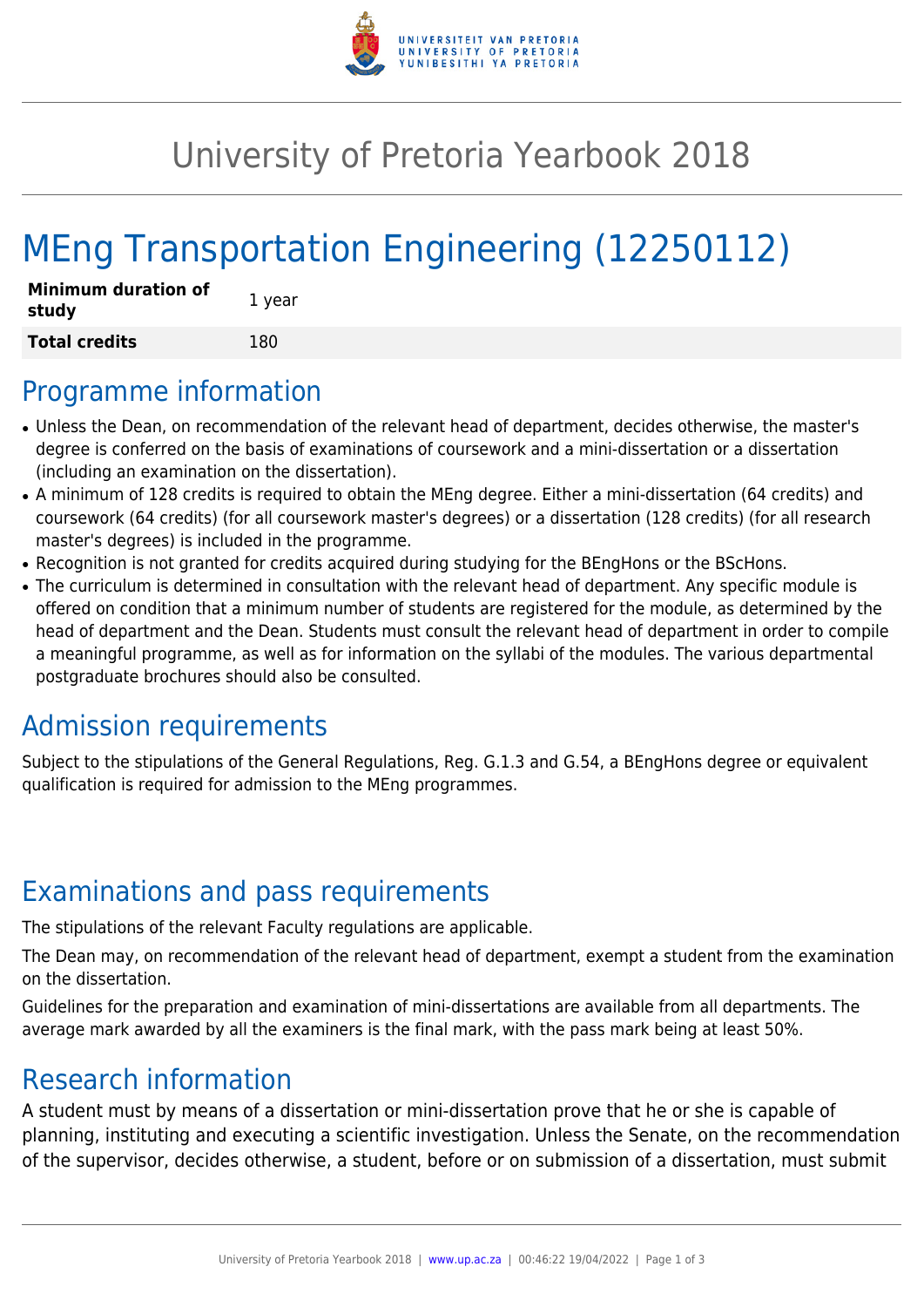

## University of Pretoria Yearbook 2018

# MEng Transportation Engineering (12250112)

| <b>Minimum duration of</b><br>study | 1 year |
|-------------------------------------|--------|
| <b>Total credits</b>                | 180    |

#### Programme information

- Unless the Dean, on recommendation of the relevant head of department, decides otherwise, the master's degree is conferred on the basis of examinations of coursework and a mini-dissertation or a dissertation (including an examination on the dissertation).
- A minimum of 128 credits is required to obtain the MEng degree. Either a mini-dissertation (64 credits) and coursework (64 credits) (for all coursework master's degrees) or a dissertation (128 credits) (for all research master's degrees) is included in the programme.
- Recognition is not granted for credits acquired during studying for the BEngHons or the BScHons.
- The curriculum is determined in consultation with the relevant head of department. Any specific module is offered on condition that a minimum number of students are registered for the module, as determined by the head of department and the Dean. Students must consult the relevant head of department in order to compile a meaningful programme, as well as for information on the syllabi of the modules. The various departmental postgraduate brochures should also be consulted.

#### Admission requirements

Subject to the stipulations of the General Regulations, Reg. G.1.3 and G.54, a BEngHons degree or equivalent qualification is required for admission to the MEng programmes.

#### Examinations and pass requirements

The stipulations of the relevant Faculty regulations are applicable.

The Dean may, on recommendation of the relevant head of department, exempt a student from the examination on the dissertation.

Guidelines for the preparation and examination of mini-dissertations are available from all departments. The average mark awarded by all the examiners is the final mark, with the pass mark being at least 50%.

#### Research information

A student must by means of a dissertation or mini-dissertation prove that he or she is capable of planning, instituting and executing a scientific investigation. Unless the Senate, on the recommendation of the supervisor, decides otherwise, a student, before or on submission of a dissertation, must submit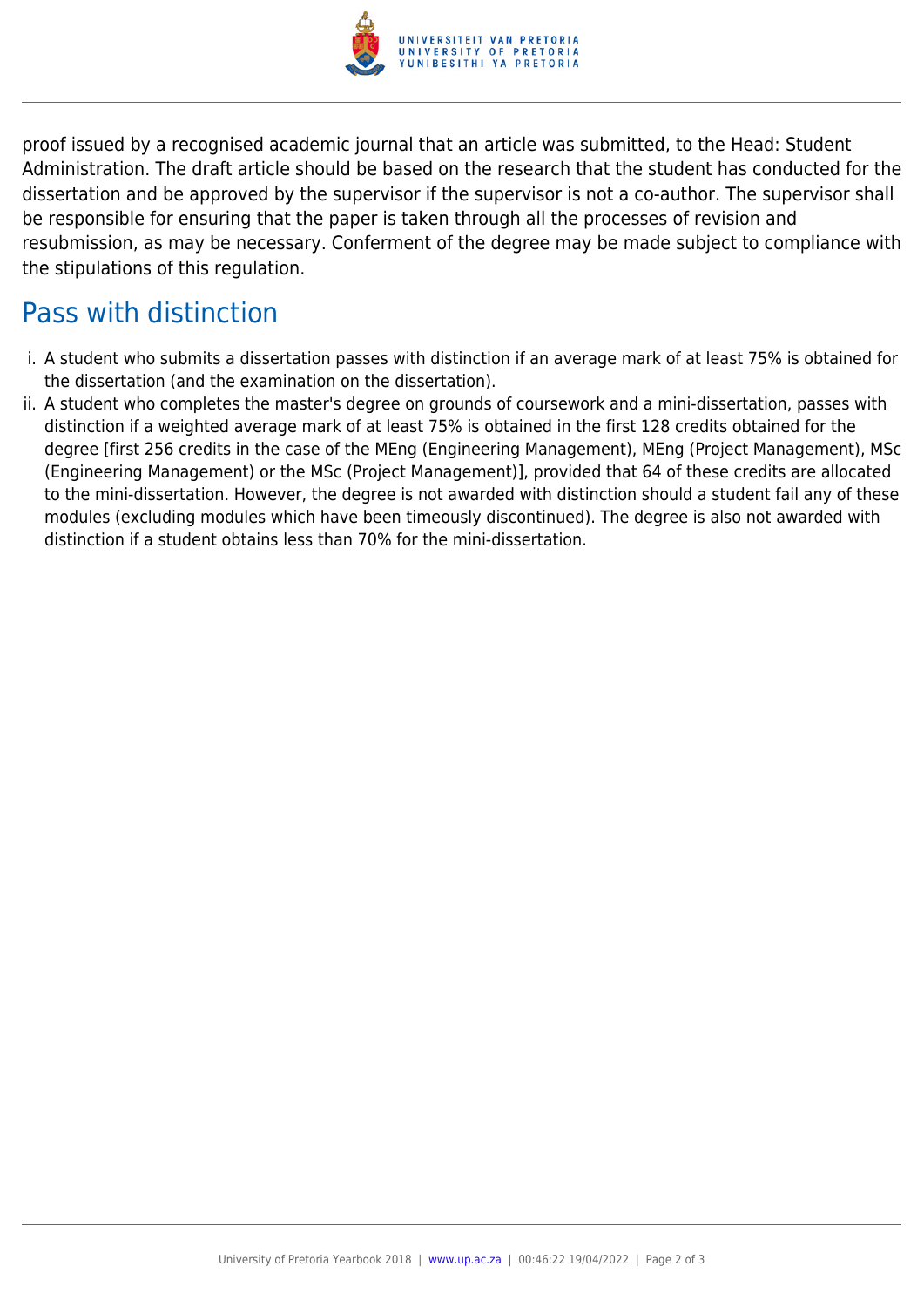

proof issued by a recognised academic journal that an article was submitted, to the Head: Student Administration. The draft article should be based on the research that the student has conducted for the dissertation and be approved by the supervisor if the supervisor is not a co-author. The supervisor shall be responsible for ensuring that the paper is taken through all the processes of revision and resubmission, as may be necessary. Conferment of the degree may be made subject to compliance with the stipulations of this regulation.

### Pass with distinction

- i. A student who submits a dissertation passes with distinction if an average mark of at least 75% is obtained for the dissertation (and the examination on the dissertation).
- ii. A student who completes the master's degree on grounds of coursework and a mini-dissertation, passes with distinction if a weighted average mark of at least 75% is obtained in the first 128 credits obtained for the degree [first 256 credits in the case of the MEng (Engineering Management), MEng (Project Management), MSc (Engineering Management) or the MSc (Project Management)], provided that 64 of these credits are allocated to the mini-dissertation. However, the degree is not awarded with distinction should a student fail any of these modules (excluding modules which have been timeously discontinued). The degree is also not awarded with distinction if a student obtains less than 70% for the mini-dissertation.